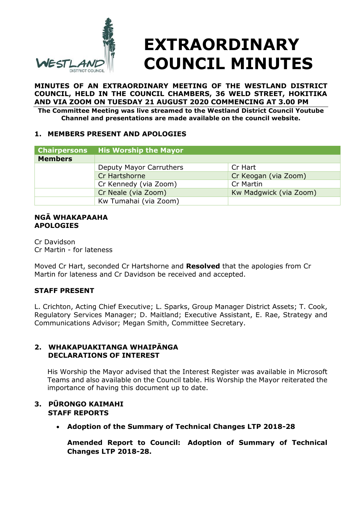

# **EXTRAORDINARY COUNCIL MINUTES**

**MINUTES OF AN EXTRAORDINARY MEETING OF THE WESTLAND DISTRICT COUNCIL, HELD IN THE COUNCIL CHAMBERS, 36 WELD STREET, HOKITIKA AND VIA ZOOM ON TUESDAY 21 AUGUST 2020 COMMENCING AT 3.00 PM The Committee Meeting was live streamed to the Westland District Council Youtube** 

**Channel and presentations are made available on the council website.**

### **1. MEMBERS PRESENT AND APOLOGIES**

| <b>Chairpersons</b> | <b>His Worship the Mayor</b> |                        |
|---------------------|------------------------------|------------------------|
| <b>Members</b>      |                              |                        |
|                     | Deputy Mayor Carruthers      | Cr Hart                |
|                     | Cr Hartshorne                | Cr Keogan (via Zoom)   |
|                     | Cr Kennedy (via Zoom)        | Cr Martin              |
|                     | Cr Neale (via Zoom)          | Kw Madgwick (via Zoom) |
|                     | Kw Tumahai (via Zoom)        |                        |

#### **NGĀ WHAKAPAAHA APOLOGIES**

Cr Davidson Cr Martin - for lateness

Moved Cr Hart, seconded Cr Hartshorne and **Resolved** that the apologies from Cr Martin for lateness and Cr Davidson be received and accepted.

# **STAFF PRESENT**

L. Crichton, Acting Chief Executive; L. Sparks, Group Manager District Assets; T. Cook, Regulatory Services Manager; D. Maitland; Executive Assistant, E. Rae, Strategy and Communications Advisor; Megan Smith, Committee Secretary.

### **2. WHAKAPUAKITANGA WHAIPĀNGA DECLARATIONS OF INTEREST**

His Worship the Mayor advised that the Interest Register was available in Microsoft Teams and also available on the Council table. His Worship the Mayor reiterated the importance of having this document up to date.

### **3. PŪRONGO KAIMAHI STAFF REPORTS**

**Adoption of the Summary of Technical Changes LTP 2018-28** 

**Amended Report to Council: Adoption of Summary of Technical Changes LTP 2018-28.**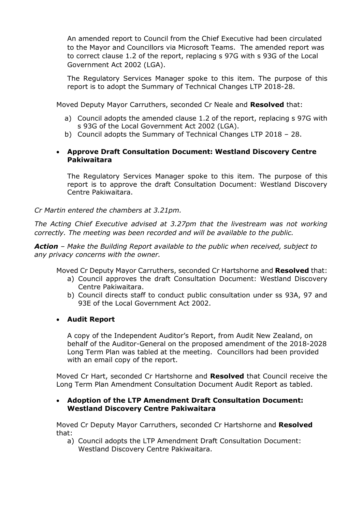An amended report to Council from the Chief Executive had been circulated to the Mayor and Councillors via Microsoft Teams. The amended report was to correct clause 1.2 of the report, replacing s 97G with s 93G of the Local Government Act 2002 (LGA).

The Regulatory Services Manager spoke to this item. The purpose of this report is to adopt the Summary of Technical Changes LTP 2018-28.

Moved Deputy Mayor Carruthers, seconded Cr Neale and **Resolved** that:

- a) Council adopts the amended clause 1.2 of the report, replacing s 97G with s 93G of the Local Government Act 2002 (LGA).
- b) Council adopts the Summary of Technical Changes LTP 2018 28.

## **Approve Draft Consultation Document: Westland Discovery Centre Pakiwaitara**

The Regulatory Services Manager spoke to this item. The purpose of this report is to approve the draft Consultation Document: Westland Discovery Centre Pakiwaitara.

*Cr Martin entered the chambers at 3.21pm.*

*The Acting Chief Executive advised at 3.27pm that the livestream was not working correctly. The meeting was been recorded and will be available to the public.*

*Action – Make the Building Report available to the public when received, subject to any privacy concerns with the owner.*

Moved Cr Deputy Mayor Carruthers, seconded Cr Hartshorne and **Resolved** that:

- a) Council approves the draft Consultation Document: Westland Discovery Centre Pakiwaitara.
- b) Council directs staff to conduct public consultation under ss 93A, 97 and 93E of the Local Government Act 2002.

### **Audit Report**

A copy of the Independent Auditor's Report, from Audit New Zealand, on behalf of the Auditor-General on the proposed amendment of the 2018-2028 Long Term Plan was tabled at the meeting. Councillors had been provided with an email copy of the report.

Moved Cr Hart, seconded Cr Hartshorne and **Resolved** that Council receive the Long Term Plan Amendment Consultation Document Audit Report as tabled.

#### **Adoption of the LTP Amendment Draft Consultation Document: Westland Discovery Centre Pakiwaitara**

Moved Cr Deputy Mayor Carruthers, seconded Cr Hartshorne and **Resolved** that:

a) Council adopts the LTP Amendment Draft Consultation Document: Westland Discovery Centre Pakiwaitara.